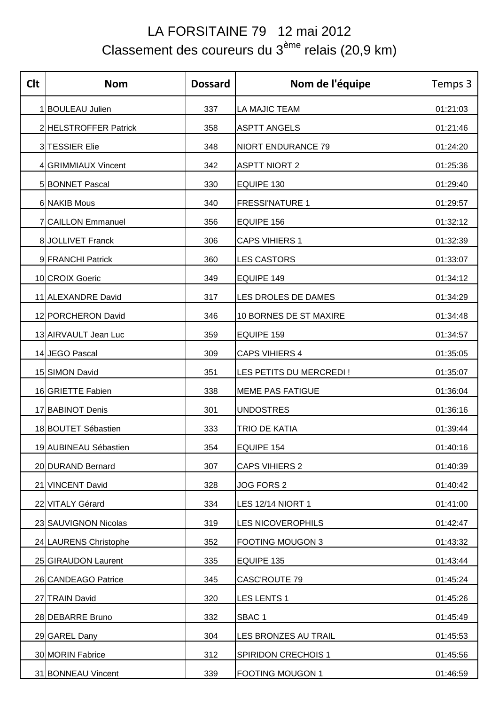## LA FORSITAINE 79 12 mai 2012 Classement des coureurs du 3ème relais (20,9 km)

| <b>Clt</b> | <b>Nom</b>            | <b>Dossard</b> | Nom de l'équipe            | Temps 3  |
|------------|-----------------------|----------------|----------------------------|----------|
|            | 1 BOULEAU Julien      | 337            | LA MAJIC TEAM              | 01:21:03 |
|            | 2 HELSTROFFER Patrick | 358            | <b>ASPTT ANGELS</b>        | 01:21:46 |
|            | 3 TESSIER Elie        | 348            | <b>NIORT ENDURANCE 79</b>  | 01:24:20 |
|            | 4 GRIMMIAUX Vincent   | 342            | <b>ASPTT NIORT 2</b>       | 01:25:36 |
|            | 5 BONNET Pascal       | 330            | EQUIPE 130                 | 01:29:40 |
|            | 6 NAKIB Mous          | 340            | <b>FRESSI'NATURE 1</b>     | 01:29:57 |
|            | 7 CAILLON Emmanuel    | 356            | EQUIPE 156                 | 01:32:12 |
|            | 8JOLLIVET Franck      | 306            | <b>CAPS VIHIERS 1</b>      | 01:32:39 |
|            | 9 FRANCHI Patrick     | 360            | <b>LES CASTORS</b>         | 01:33:07 |
|            | 10 CROIX Goeric       | 349            | EQUIPE 149                 | 01:34:12 |
|            | 11 ALEXANDRE David    | 317            | LES DROLES DE DAMES        | 01:34:29 |
|            | 12 PORCHERON David    | 346            | 10 BORNES DE ST MAXIRE     | 01:34:48 |
|            | 13 AIRVAULT Jean Luc  | 359            | EQUIPE 159                 | 01:34:57 |
|            | 14 JEGO Pascal        | 309            | <b>CAPS VIHIERS 4</b>      | 01:35:05 |
|            | 15 SIMON David        | 351            | LES PETITS DU MERCREDI !   | 01:35:07 |
|            | 16 GRIETTE Fabien     | 338            | <b>MEME PAS FATIGUE</b>    | 01:36:04 |
|            | 17 BABINOT Denis      | 301            | <b>UNDOSTRES</b>           | 01:36:16 |
|            | 18 BOUTET Sébastien   | 333            | <b>TRIO DE KATIA</b>       | 01:39:44 |
|            | 19 AUBINEAU Sébastien | 354            | EQUIPE 154                 | 01:40:16 |
|            | 20 DURAND Bernard     | 307            | <b>CAPS VIHIERS 2</b>      | 01:40:39 |
|            | 21 VINCENT David      | 328            | JOG FORS 2                 | 01:40:42 |
|            | 22 VITALY Gérard      | 334            | LES 12/14 NIORT 1          | 01:41:00 |
|            | 23 SAUVIGNON Nicolas  | 319            | LES NICOVEROPHILS          | 01:42:47 |
|            | 24 LAURENS Christophe | 352            | <b>FOOTING MOUGON 3</b>    | 01:43:32 |
|            | 25 GIRAUDON Laurent   | 335            | EQUIPE 135                 | 01:43:44 |
|            | 26 CANDEAGO Patrice   | 345            | CASC'ROUTE 79              | 01:45:24 |
|            | 27 TRAIN David        | 320            | <b>LES LENTS 1</b>         | 01:45:26 |
|            | 28 DEBARRE Bruno      | 332            | SBAC <sub>1</sub>          | 01:45:49 |
|            | 29 GAREL Dany         | 304            | LES BRONZES AU TRAIL       | 01:45:53 |
|            | 30 MORIN Fabrice      | 312            | <b>SPIRIDON CRECHOIS 1</b> | 01:45:56 |
|            | 31 BONNEAU Vincent    | 339            | <b>FOOTING MOUGON 1</b>    | 01:46:59 |